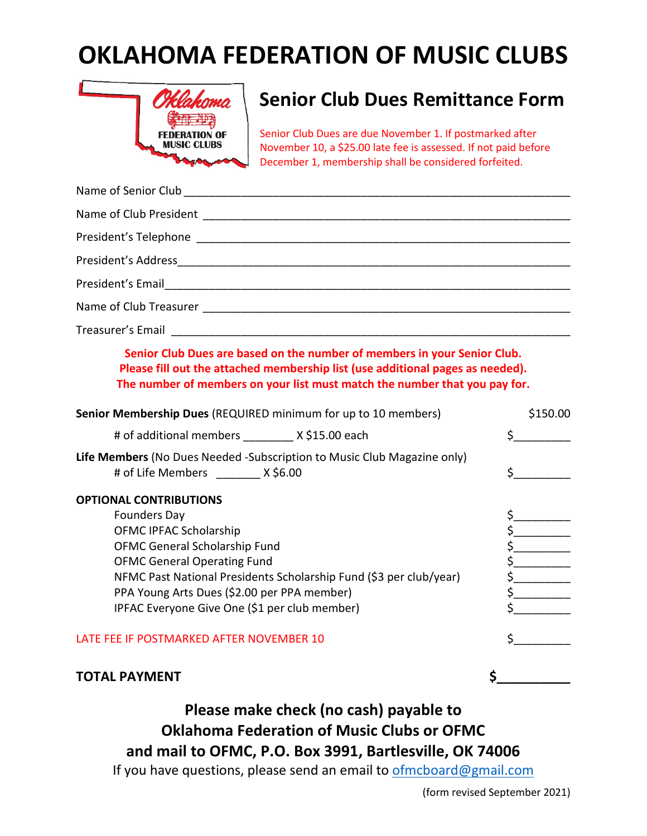## **OKLAHOMA FEDERATION OF MUSIC CLUBS**



## **Senior Club Dues Remittance Form**

Senior Club Dues are due November 1. If postmarked after November 10, a \$25.00 late fee is assessed. If not paid before December 1, membership shall be considered forfeited.

| Senior Club Dues are based on the number of members in your Senior Club.<br>Please fill out the attached membership list (use additional pages as needed).<br>The number of members on your list must match the number that you pay for.                                                                                    |                       |
|-----------------------------------------------------------------------------------------------------------------------------------------------------------------------------------------------------------------------------------------------------------------------------------------------------------------------------|-----------------------|
| Senior Membership Dues (REQUIRED minimum for up to 10 members)                                                                                                                                                                                                                                                              | \$150.00              |
| # of additional members ________ X \$15.00 each                                                                                                                                                                                                                                                                             | $\mathsf{S}$          |
| Life Members (No Dues Needed -Subscription to Music Club Magazine only)<br># of Life Members ________ X \$6.00                                                                                                                                                                                                              | $\sharp$ and $\sharp$ |
| <b>OPTIONAL CONTRIBUTIONS</b><br><b>Founders Day</b><br>OFMC IPFAC Scholarship<br>OFMC General Scholarship Fund<br><b>OFMC General Operating Fund</b><br>NFMC Past National Presidents Scholarship Fund (\$3 per club/year)<br>PPA Young Arts Dues (\$2.00 per PPA member)<br>IPFAC Everyone Give One (\$1 per club member) | $\frac{1}{5}$         |
| LATE FEE IF POSTMARKED AFTER NOVEMBER 10                                                                                                                                                                                                                                                                                    | \$                    |
| <b>TOTAL PAYMENT</b>                                                                                                                                                                                                                                                                                                        | \$                    |

**Please make check (no cash) payable to Oklahoma Federation of Music Clubs or OFMC and mail to OFMC, P.O. Box 3991, Bartlesville, OK 74006**

If you have questions, please send an email to [ofmcboard@gmail.com](mailto:ofmcboard@gmail.com)